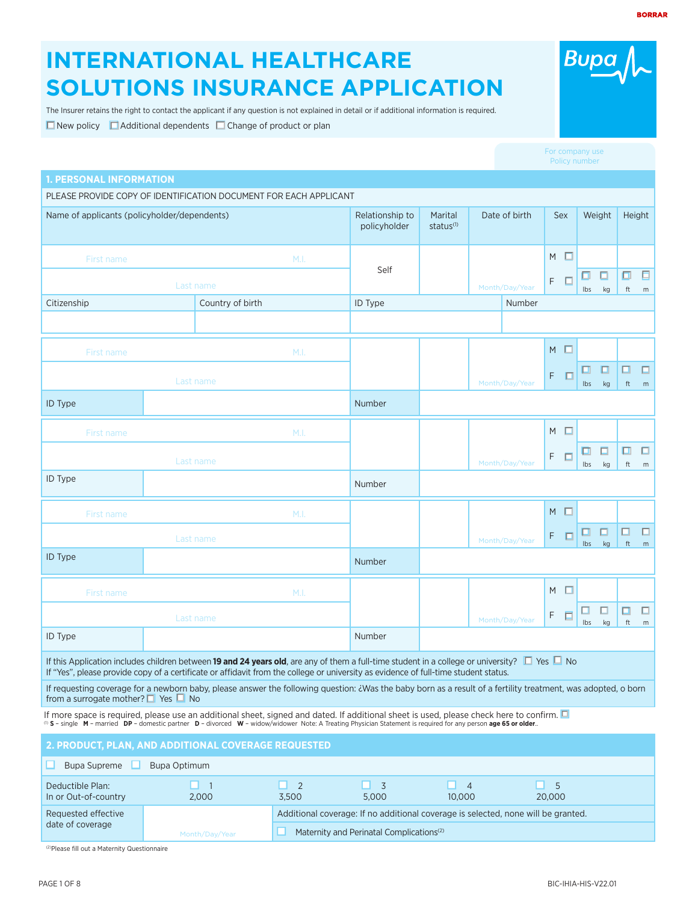# **INTERNATIONAL HEALTHCARE SOLUTIONS INSURANCE APPLICATION**

The Insurer retains the right to contact the applicant if any question is not explained in detail or if additional information is required.

 $\Box$  New policy  $\Box$  Additional dependents  $\Box$  Change of product or plan

| <b>1. PERSONAL INFORMATION</b>                                                                                                                                                                                                                                                                             |                  |                     |                                 |                                  |                |                |   |        |           |              |                              |             |
|------------------------------------------------------------------------------------------------------------------------------------------------------------------------------------------------------------------------------------------------------------------------------------------------------------|------------------|---------------------|---------------------------------|----------------------------------|----------------|----------------|---|--------|-----------|--------------|------------------------------|-------------|
| PLEASE PROVIDE COPY OF IDENTIFICATION DOCUMENT FOR EACH APPLICANT                                                                                                                                                                                                                                          |                  |                     |                                 |                                  |                |                |   |        |           |              |                              |             |
| Name of applicants (policyholder/dependents)                                                                                                                                                                                                                                                               |                  |                     | Relationship to<br>policyholder | Marital<br>status <sup>(1)</sup> |                | Date of birth  |   | Sex    |           | Weight       | Height                       |             |
| First name                                                                                                                                                                                                                                                                                                 |                  | M.I.                |                                 |                                  |                |                | M | □      |           |              |                              |             |
| Last name                                                                                                                                                                                                                                                                                                  |                  |                     | Self                            |                                  |                | Month/Day/Year | F | П      | ο<br>Ibs  | ◘<br>kg      | σ<br>$\operatorname{\sf ft}$ | 日<br>m      |
| Citizenship                                                                                                                                                                                                                                                                                                | Country of birth |                     | ID Type                         |                                  |                | Number         |   |        |           |              |                              |             |
|                                                                                                                                                                                                                                                                                                            |                  |                     |                                 |                                  |                |                |   |        |           |              |                              |             |
| First name                                                                                                                                                                                                                                                                                                 |                  | M.I.                |                                 |                                  |                |                | M | $\Box$ |           |              |                              |             |
|                                                                                                                                                                                                                                                                                                            | Last name        |                     |                                 |                                  |                | Month/Day/Year | F | П      | □.<br>lbs | $\Box$<br>kg | □<br>ft                      | $\Box$<br>m |
| ID Type                                                                                                                                                                                                                                                                                                    |                  |                     | Number                          |                                  |                |                |   |        |           |              |                              |             |
| <b>First name</b>                                                                                                                                                                                                                                                                                          |                  | M.I.                |                                 |                                  |                |                | M | п      |           |              |                              |             |
|                                                                                                                                                                                                                                                                                                            | Last name        |                     |                                 |                                  |                | Month/Day/Year | F | о      | ▫<br>Ibs  | $\Box$       | □<br>ft                      | $\Box$      |
| ID Type                                                                                                                                                                                                                                                                                                    |                  |                     | Number                          |                                  |                |                |   |        |           | kg           |                              | m           |
| First name                                                                                                                                                                                                                                                                                                 |                  | M.I.                |                                 |                                  |                |                | M | П      |           |              |                              |             |
|                                                                                                                                                                                                                                                                                                            | Last name        |                     |                                 |                                  |                | Month/Day/Year | F | о      | ◨<br>Ibs  | □<br>kg      | $\Box$<br>ft                 | □<br>m      |
| <b>ID Type</b>                                                                                                                                                                                                                                                                                             |                  |                     | Number                          |                                  |                |                |   |        |           |              |                              |             |
| First name                                                                                                                                                                                                                                                                                                 |                  | M.I.                |                                 |                                  |                |                | M | п      |           |              |                              |             |
|                                                                                                                                                                                                                                                                                                            | Last name        |                     |                                 |                                  |                | Month/Day/Year | F | $\Box$ | Ibs       | $\Box$<br>kg | $\Box$<br>ft                 | $\Box$<br>m |
| ID Type                                                                                                                                                                                                                                                                                                    |                  |                     | Number                          |                                  |                |                |   |        |           |              |                              |             |
| If this Application includes children between 19 and 24 years old, are any of them a full-time student in a college or university? $\Box$ Yes $\Box$ No<br>If "Yes", please provide copy of a certificate or affidavit from the college or university as evidence of full-time student status.             |                  |                     |                                 |                                  |                |                |   |        |           |              |                              |             |
| If requesting coverage for a newborn baby, please answer the following question: ¿Was the baby born as a result of a fertility treatment, was adopted, o born<br>from a surrogate mother? $\Box$ Yes $\Box$ No                                                                                             |                  |                     |                                 |                                  |                |                |   |        |           |              |                              |             |
| If more space is required, please use an additional sheet, signed and dated. If additional sheet is used, please check here to confirm.<br>(0) S - single M - married DP - domestic partner D - divorced W - widow/widower Note: A Treating Physician Statement is required for any person age 65 or older |                  |                     |                                 |                                  |                |                |   |        |           |              |                              |             |
| 2. PRODUCT, PLAN, AND ADDITIONAL COVERAGE REQUESTED                                                                                                                                                                                                                                                        |                  |                     |                                 |                                  |                |                |   |        |           |              |                              |             |
| Bupa Supreme $\Box$<br>∟                                                                                                                                                                                                                                                                                   | Bupa Optimum     |                     |                                 |                                  |                |                |   |        |           |              |                              |             |
| Deductible Plan:                                                                                                                                                                                                                                                                                           | $\Box$ 1         | п<br>$\overline{2}$ | $\overline{3}$<br>п             | п                                | $\overline{4}$ | О.             | 5 |        |           |              |                              |             |

(2)Please fill out a Maternity Questionnaire

# For company use

**Bupa**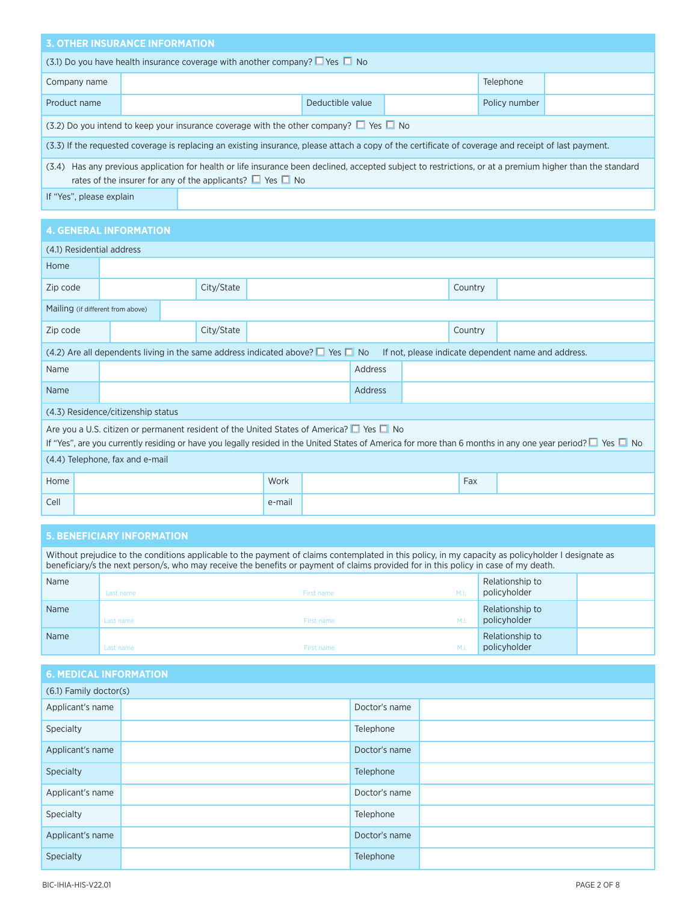| <b>3. OTHER INSURANCE INFORMATION</b>                                                                                                                                                                                             |                  |                                                                                                                                                      |  |               |           |  |  |
|-----------------------------------------------------------------------------------------------------------------------------------------------------------------------------------------------------------------------------------|------------------|------------------------------------------------------------------------------------------------------------------------------------------------------|--|---------------|-----------|--|--|
| (3.1) Do you have health insurance coverage with another company? $\Box$ Yes $\Box$ No                                                                                                                                            |                  |                                                                                                                                                      |  |               |           |  |  |
| Company name                                                                                                                                                                                                                      |                  |                                                                                                                                                      |  |               | Telephone |  |  |
| Product name                                                                                                                                                                                                                      | Deductible value |                                                                                                                                                      |  | Policy number |           |  |  |
|                                                                                                                                                                                                                                   |                  | (3.2) Do you intend to keep your insurance coverage with the other company? $\Box$ Yes $\Box$ No                                                     |  |               |           |  |  |
|                                                                                                                                                                                                                                   |                  | (3.3) If the requested coverage is replacing an existing insurance, please attach a copy of the certificate of coverage and receipt of last payment. |  |               |           |  |  |
| (3.4) Has any previous application for health or life insurance been declined, accepted subject to restrictions, or at a premium higher than the standard<br>rates of the insurer for any of the applicants? $\Box$ Yes $\Box$ No |                  |                                                                                                                                                      |  |               |           |  |  |
| If "Yes", please explain                                                                                                                                                                                                          |                  |                                                                                                                                                      |  |               |           |  |  |

|          | <b>4. GENERAL INFORMATION</b>                                                                                                                                                                                                                                    |                                    |  |            |        |  |                |  |         |  |  |
|----------|------------------------------------------------------------------------------------------------------------------------------------------------------------------------------------------------------------------------------------------------------------------|------------------------------------|--|------------|--------|--|----------------|--|---------|--|--|
|          | (4.1) Residential address                                                                                                                                                                                                                                        |                                    |  |            |        |  |                |  |         |  |  |
| Home     |                                                                                                                                                                                                                                                                  |                                    |  |            |        |  |                |  |         |  |  |
| Zip code |                                                                                                                                                                                                                                                                  |                                    |  | City/State |        |  |                |  | Country |  |  |
|          | Mailing (if different from above)                                                                                                                                                                                                                                |                                    |  |            |        |  |                |  |         |  |  |
| Zip code |                                                                                                                                                                                                                                                                  |                                    |  | City/State |        |  |                |  | Country |  |  |
|          | (4.2) Are all dependents living in the same address indicated above? $\Box$ Yes $\Box$ No<br>If not, please indicate dependent name and address.                                                                                                                 |                                    |  |            |        |  |                |  |         |  |  |
| Name     |                                                                                                                                                                                                                                                                  |                                    |  |            |        |  | Address        |  |         |  |  |
| Name     |                                                                                                                                                                                                                                                                  |                                    |  |            |        |  | <b>Address</b> |  |         |  |  |
|          |                                                                                                                                                                                                                                                                  | (4.3) Residence/citizenship status |  |            |        |  |                |  |         |  |  |
|          | Are you a U.S. citizen or permanent resident of the United States of America? ■ Yes ■ No<br>If "Yes", are you currently residing or have you legally resided in the United States of America for more than 6 months in any one year period? $\Box$ Yes $\Box$ No |                                    |  |            |        |  |                |  |         |  |  |
|          | (4.4) Telephone, fax and e-mail                                                                                                                                                                                                                                  |                                    |  |            |        |  |                |  |         |  |  |
| Home     |                                                                                                                                                                                                                                                                  |                                    |  |            | Work   |  |                |  | Fax     |  |  |
| Cell     |                                                                                                                                                                                                                                                                  |                                    |  |            | e-mail |  |                |  |         |  |  |

# **5. BENEFICIARY INFORMATION**

| Without prejudice to the conditions applicable to the payment of claims contemplated in this policy, in my capacity as policyholder I designate as<br>beneficiary/s the next person/s, who may receive the benefits or payment of claims provided for in this policy in case of my death. |           |            |                |                                 |  |  |  |
|-------------------------------------------------------------------------------------------------------------------------------------------------------------------------------------------------------------------------------------------------------------------------------------------|-----------|------------|----------------|---------------------------------|--|--|--|
| Name                                                                                                                                                                                                                                                                                      | Last name | First name | M.I.           | Relationship to<br>policyholder |  |  |  |
| Name                                                                                                                                                                                                                                                                                      | Last name | First name | M <sub>1</sub> | Relationship to<br>policyholder |  |  |  |
| Name                                                                                                                                                                                                                                                                                      | Last name | First name | M.I            | Relationship to<br>policyholder |  |  |  |

| <b>6. MEDICAL INFORMATION</b> |  |               |  |  |  |  |  |
|-------------------------------|--|---------------|--|--|--|--|--|
| (6.1) Family doctor(s)        |  |               |  |  |  |  |  |
| Applicant's name              |  | Doctor's name |  |  |  |  |  |
| Specialty                     |  | Telephone     |  |  |  |  |  |
| Applicant's name              |  | Doctor's name |  |  |  |  |  |
| Specialty                     |  | Telephone     |  |  |  |  |  |
| Applicant's name              |  | Doctor's name |  |  |  |  |  |
| Specialty                     |  | Telephone     |  |  |  |  |  |
| Applicant's name              |  | Doctor's name |  |  |  |  |  |
| Specialty                     |  | Telephone     |  |  |  |  |  |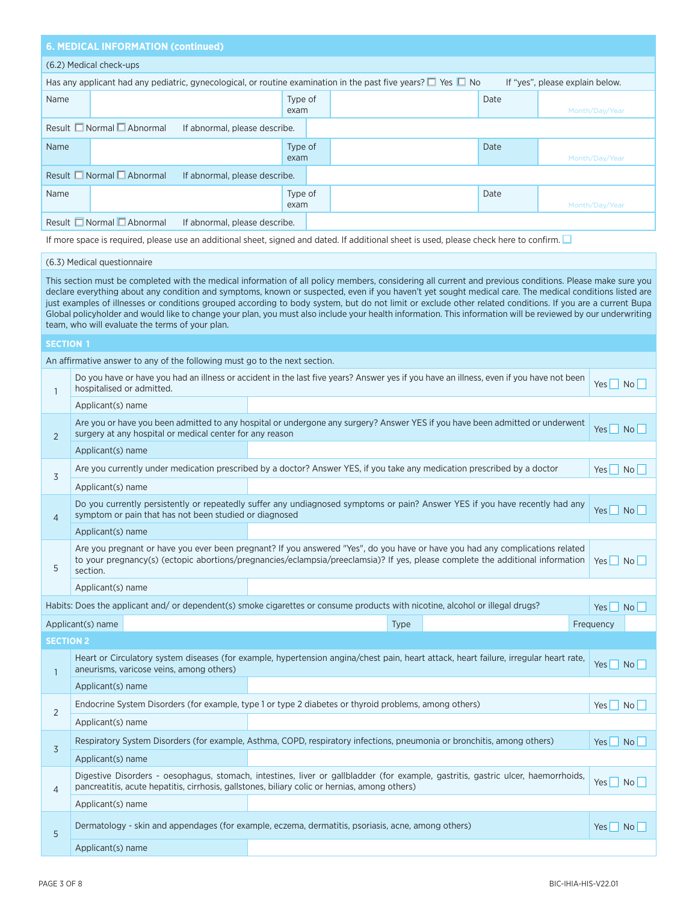# **6. MEDICAL INFORMATION (continued)**

## (6.2) Medical check-ups

| Has any applicant had any pediatric, gynecological, or routine examination in the past five years? $\square$ Yes $\square$ No<br>If "yes", please explain below. |                 |      |                |  |  |  |  |  |
|------------------------------------------------------------------------------------------------------------------------------------------------------------------|-----------------|------|----------------|--|--|--|--|--|
| Name                                                                                                                                                             | Type of<br>exam | Date | Month/Day/Year |  |  |  |  |  |
| Result $\Box$ Normal $\Box$ Abnormal<br>If abnormal, please describe.                                                                                            |                 |      |                |  |  |  |  |  |
| Name                                                                                                                                                             | Type of<br>exam | Date | Month/Day/Year |  |  |  |  |  |
| Result $\Box$ Normal $\Box$ Abnormal<br>If abnormal, please describe.                                                                                            |                 |      |                |  |  |  |  |  |
| Name                                                                                                                                                             | Type of<br>exam | Date | Month/Day/Year |  |  |  |  |  |
| Result Normal <u>D</u> Abnormal<br>If abnormal, please describe.                                                                                                 |                 |      |                |  |  |  |  |  |

If more space is required, please use an additional sheet, signed and dated. If additional sheet is used, please check here to confirm.

#### (6.3) Medical questionnaire

This section must be completed with the medical information of all policy members, considering all current and previous conditions. Please make sure you declare everything about any condition and symptoms, known or suspected, even if you haven't yet sought medical care. The medical conditions listed are just examples of illnesses or conditions grouped according to body system, but do not limit or exclude other related conditions. If you are a current Bupa Global policyholder and would like to change your plan, you must also include your health information. This information will be reviewed by our underwriting team, who will evaluate the terms of your plan.

#### **SECTION 1**

An affirmative answer to any of the following must go to the next section.

| $\mathbf{1}$     | hospitalised or admitted.                                                                                                                                                                                                                                                   | Do you have or have you had an illness or accident in the last five years? Answer yes if you have an illness, even if you have not been | $Yes \mid No \mid$                       |  |  |  |  |
|------------------|-----------------------------------------------------------------------------------------------------------------------------------------------------------------------------------------------------------------------------------------------------------------------------|-----------------------------------------------------------------------------------------------------------------------------------------|------------------------------------------|--|--|--|--|
|                  | Applicant(s) name                                                                                                                                                                                                                                                           |                                                                                                                                         |                                          |  |  |  |  |
| $\overline{2}$   | surgery at any hospital or medical center for any reason                                                                                                                                                                                                                    | Are you or have you been admitted to any hospital or undergone any surgery? Answer YES if you have been admitted or underwent           | Yes $\Box$ No $\Box$                     |  |  |  |  |
|                  | Applicant(s) name                                                                                                                                                                                                                                                           |                                                                                                                                         |                                          |  |  |  |  |
| 3                |                                                                                                                                                                                                                                                                             | Are you currently under medication prescribed by a doctor? Answer YES, if you take any medication prescribed by a doctor                | $Yes \Box No \Box$                       |  |  |  |  |
|                  | Applicant(s) name                                                                                                                                                                                                                                                           |                                                                                                                                         |                                          |  |  |  |  |
| $\overline{4}$   | symptom or pain that has not been studied or diagnosed                                                                                                                                                                                                                      | Do you currently persistently or repeatedly suffer any undiagnosed symptoms or pain? Answer YES if you have recently had any            | $Yes \mid No \mid$                       |  |  |  |  |
|                  | Applicant(s) name                                                                                                                                                                                                                                                           |                                                                                                                                         |                                          |  |  |  |  |
| 5                | Are you pregnant or have you ever been pregnant? If you answered "Yes", do you have or have you had any complications related<br>to your pregnancy(s) (ectopic abortions/pregnancies/eclampsia/preeclamsia)? If yes, please complete the additional information<br>section. |                                                                                                                                         |                                          |  |  |  |  |
|                  | Applicant(s) name                                                                                                                                                                                                                                                           |                                                                                                                                         |                                          |  |  |  |  |
|                  |                                                                                                                                                                                                                                                                             | Habits: Does the applicant and/or dependent(s) smoke cigarettes or consume products with nicotine, alcohol or illegal drugs?            | $Yes \mid No \mid$                       |  |  |  |  |
|                  | Applicant(s) name<br><b>Type</b>                                                                                                                                                                                                                                            |                                                                                                                                         |                                          |  |  |  |  |
|                  |                                                                                                                                                                                                                                                                             |                                                                                                                                         | Frequency                                |  |  |  |  |
| <b>SECTION 2</b> |                                                                                                                                                                                                                                                                             |                                                                                                                                         |                                          |  |  |  |  |
| $\mathbf{1}$     | aneurisms, varicose veins, among others)                                                                                                                                                                                                                                    | Heart or Circulatory system diseases (for example, hypertension angina/chest pain, heart attack, heart failure, irregular heart rate,   | $Yes \Box No \Box$                       |  |  |  |  |
|                  | Applicant(s) name                                                                                                                                                                                                                                                           |                                                                                                                                         |                                          |  |  |  |  |
|                  |                                                                                                                                                                                                                                                                             | Endocrine System Disorders (for example, type 1 or type 2 diabetes or thyroid problems, among others)                                   | $Yes \nightharpoonup No \nightharpoonup$ |  |  |  |  |
| $\overline{2}$   | Applicant(s) name                                                                                                                                                                                                                                                           |                                                                                                                                         |                                          |  |  |  |  |
|                  |                                                                                                                                                                                                                                                                             | Respiratory System Disorders (for example, Asthma, COPD, respiratory infections, pneumonia or bronchitis, among others)                 | Yes No                                   |  |  |  |  |
| 3                | Applicant(s) name                                                                                                                                                                                                                                                           |                                                                                                                                         |                                          |  |  |  |  |
| $\overline{4}$   | pancreatitis, acute hepatitis, cirrhosis, gallstones, biliary colic or hernias, among others)                                                                                                                                                                               | Digestive Disorders - oesophagus, stomach, intestines, liver or gallbladder (for example, gastritis, gastric ulcer, haemorrhoids,       | $Yes \Box No \Box$                       |  |  |  |  |
|                  | Applicant(s) name                                                                                                                                                                                                                                                           |                                                                                                                                         |                                          |  |  |  |  |
| 5                |                                                                                                                                                                                                                                                                             | Dermatology - skin and appendages (for example, eczema, dermatitis, psoriasis, acne, among others)                                      | Yes No                                   |  |  |  |  |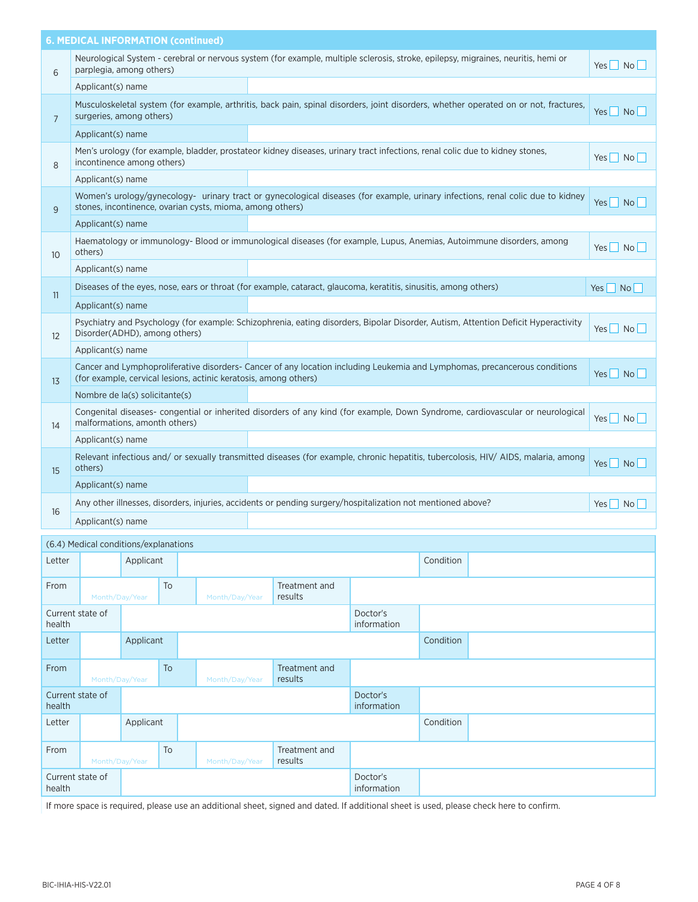|                 | <b>6. MEDICAL INFORMATION (continued)</b>                        |                                                                                                                                      |                    |
|-----------------|------------------------------------------------------------------|--------------------------------------------------------------------------------------------------------------------------------------|--------------------|
| 6               | parplegia, among others)                                         | Neurological System - cerebral or nervous system (for example, multiple sclerosis, stroke, epilepsy, migraines, neuritis, hemi or    | $Yes \Box No \Box$ |
|                 | Applicant(s) name                                                |                                                                                                                                      |                    |
| $7\overline{ }$ | surgeries, among others)                                         | Musculoskeletal system (for example, arthritis, back pain, spinal disorders, joint disorders, whether operated on or not, fractures, | Yes No             |
|                 | Applicant(s) name                                                |                                                                                                                                      |                    |
| 8               | incontinence among others)                                       | Men's urology (for example, bladder, prostateor kidney diseases, urinary tract infections, renal colic due to kidney stones,         | Yes No             |
|                 | Applicant(s) name                                                |                                                                                                                                      |                    |
| 9               | stones, incontinence, ovarian cysts, mioma, among others)        | Women's urology/gynecology- urinary tract or gynecological diseases (for example, urinary infections, renal colic due to kidney      | $Yes \mid No \mid$ |
|                 | Applicant(s) name                                                |                                                                                                                                      |                    |
| 10 <sup>°</sup> | others)                                                          | Haematology or immunology- Blood or immunological diseases (for example, Lupus, Anemias, Autoimmune disorders, among                 | Yes No             |
|                 | Applicant(s) name                                                |                                                                                                                                      |                    |
| 11              |                                                                  | Diseases of the eyes, nose, ears or throat (for example, cataract, glaucoma, keratitis, sinusitis, among others)                     | $Yes \mid No \mid$ |
|                 | Applicant(s) name                                                |                                                                                                                                      |                    |
| 12              | Disorder(ADHD), among others)                                    | Psychiatry and Psychology (for example: Schizophrenia, eating disorders, Bipolar Disorder, Autism, Attention Deficit Hyperactivity   | $Yes \mid No \mid$ |
|                 | Applicant(s) name                                                |                                                                                                                                      |                    |
| 13              | (for example, cervical lesions, actinic keratosis, among others) | Cancer and Lymphoproliferative disorders- Cancer of any location including Leukemia and Lymphomas, precancerous conditions           | $Yes \mid No \mid$ |
|                 | Nombre de la(s) solicitante(s)                                   |                                                                                                                                      |                    |
| 14              | malformations, amonth others)                                    | Congenital diseases- congential or inherited disorders of any kind (for example, Down Syndrome, cardiovascular or neurological       | $Yes \mid No \mid$ |
|                 | Applicant(s) name                                                |                                                                                                                                      |                    |
| 15              | others)                                                          | Relevant infectious and/ or sexually transmitted diseases (for example, chronic hepatitis, tubercolosis, HIV/ AIDS, malaria, among   | Yes No             |
|                 | Applicant(s) name                                                |                                                                                                                                      |                    |
| 16              |                                                                  | Any other illnesses, disorders, injuries, accidents or pending surgery/hospitalization not mentioned above?                          | Yes No             |
|                 | Applicant(s) name                                                |                                                                                                                                      |                    |
|                 |                                                                  |                                                                                                                                      |                    |

|                            | (6.4) Medical conditions/explanations |           |    |                |                          |                         |           |  |  |
|----------------------------|---------------------------------------|-----------|----|----------------|--------------------------|-------------------------|-----------|--|--|
| Letter                     |                                       | Applicant |    |                |                          |                         | Condition |  |  |
| From                       | Month/Day/Year                        |           | To | Month/Day/Year | Treatment and<br>results |                         |           |  |  |
| Current state of<br>health |                                       |           |    |                |                          | Doctor's<br>information |           |  |  |
| Letter                     |                                       | Applicant |    |                |                          |                         | Condition |  |  |
| From                       | Month/Day/Year                        |           | To | Month/Day/Year | Treatment and<br>results |                         |           |  |  |
| Current state of<br>health |                                       |           |    |                |                          | Doctor's<br>information |           |  |  |
| Letter                     |                                       | Applicant |    |                |                          |                         | Condition |  |  |
| From                       | Month/Day/Year                        |           | To | Month/Day/Year | Treatment and<br>results |                         |           |  |  |
| Current state of<br>health |                                       |           |    |                |                          | Doctor's<br>information |           |  |  |

If more space is required, please use an additional sheet, signed and dated. If additional sheet is used, please check here to confirm.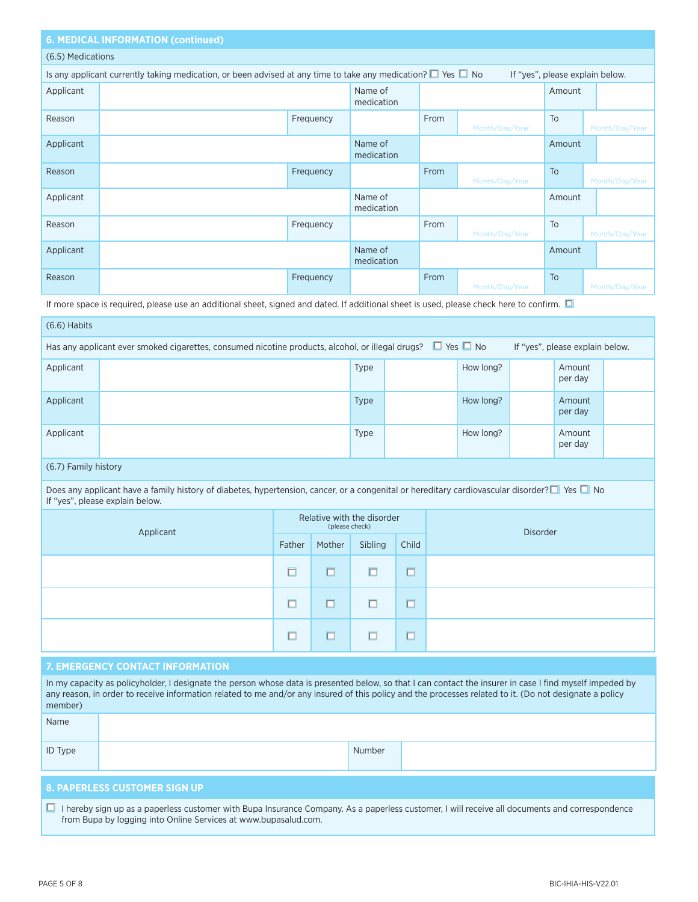# **6. MEDICAL INFORMATION (continued)**

#### (6.5) Medications

| Is any applicant currently taking medication, or been advised at any time to take any medication? $\square$ Yes $\square$ No<br>If "yes", please explain below. |  |           |                       |      |                |           |                |  |
|-----------------------------------------------------------------------------------------------------------------------------------------------------------------|--|-----------|-----------------------|------|----------------|-----------|----------------|--|
| Applicant                                                                                                                                                       |  |           | Name of<br>medication |      |                | Amount    |                |  |
| Reason                                                                                                                                                          |  | Frequency |                       | From | Month/Day/Year | To        | Month/Day/Year |  |
| Applicant                                                                                                                                                       |  |           | Name of<br>medication |      |                | Amount    |                |  |
| Reason                                                                                                                                                          |  | Frequency |                       | From | Month/Day/Year | <b>To</b> | Month/Day/Year |  |
| Applicant                                                                                                                                                       |  |           | Name of<br>medication |      |                | Amount    |                |  |
| Reason                                                                                                                                                          |  | Frequency |                       | From | Month/Day/Year | To        | Month/Day/Year |  |
| Applicant                                                                                                                                                       |  |           | Name of<br>medication |      |                | Amount    |                |  |
| Reason                                                                                                                                                          |  | Frequency |                       | From | Month/Day/Year | To        | Month/Day/Year |  |

If more space is required, please use an additional sheet, signed and dated. If additional sheet is used, please check here to confirm.  $\Box$ 

| $(6.6)$ Habits                                                                                                                                           |  |             |  |           |  |                   |  |  |
|----------------------------------------------------------------------------------------------------------------------------------------------------------|--|-------------|--|-----------|--|-------------------|--|--|
| Has any applicant ever smoked cigarettes, consumed nicotine products, alcohol, or illegal drugs? $\Box$ Yes $\Box$ No<br>If "yes", please explain below. |  |             |  |           |  |                   |  |  |
| Applicant                                                                                                                                                |  | Type        |  | How long? |  | Amount<br>per day |  |  |
| Applicant                                                                                                                                                |  | <b>Type</b> |  | How long? |  | Amount<br>per day |  |  |
| Applicant                                                                                                                                                |  | Type        |  | How long? |  | Amount<br>per day |  |  |

## (6.7) Family history

Does any applicant have a family history of diabetes, hypertension, cancer, or a congenital or hereditary cardiovascular disorder? $\Box$  Yes  $\Box$  No If "yes", please explain below.

| Applicant |        | (please check) | Relative with the disorder |                               | <b>Disorder</b> |
|-----------|--------|----------------|----------------------------|-------------------------------|-----------------|
|           | Father | Mother         | Sibling                    | Child                         |                 |
|           | Ō      | $\Box$         | $\Box$                     | $\overline{\phantom{m}}$<br>ш |                 |
|           | $\Box$ | □              | □                          | $\Box$                        |                 |
|           | $\Box$ | □              | □                          |                               |                 |

#### **7. EMERGENCY CONTACT INFORMATION**

| In my capacity as policyholder, I designate the person whose data is presented below, so that I can contact the insurer in case I find myself impeded by<br>any reason, in order to receive information related to me and/or any insured of this policy and the processes related to it. (Do not designate a policy<br>member) |  |        |  |
|--------------------------------------------------------------------------------------------------------------------------------------------------------------------------------------------------------------------------------------------------------------------------------------------------------------------------------|--|--------|--|
| Name                                                                                                                                                                                                                                                                                                                           |  |        |  |
| <b>ID Type</b>                                                                                                                                                                                                                                                                                                                 |  | Number |  |
|                                                                                                                                                                                                                                                                                                                                |  |        |  |

## **8. PAPERLESS CUSTOMER SIGN UP**

■ I hereby sign up as a paperless customer with Bupa Insurance Company. As a paperless customer, I will receive all documents and correspondence from Bupa by logging into Online Services at www.bupasalud.com.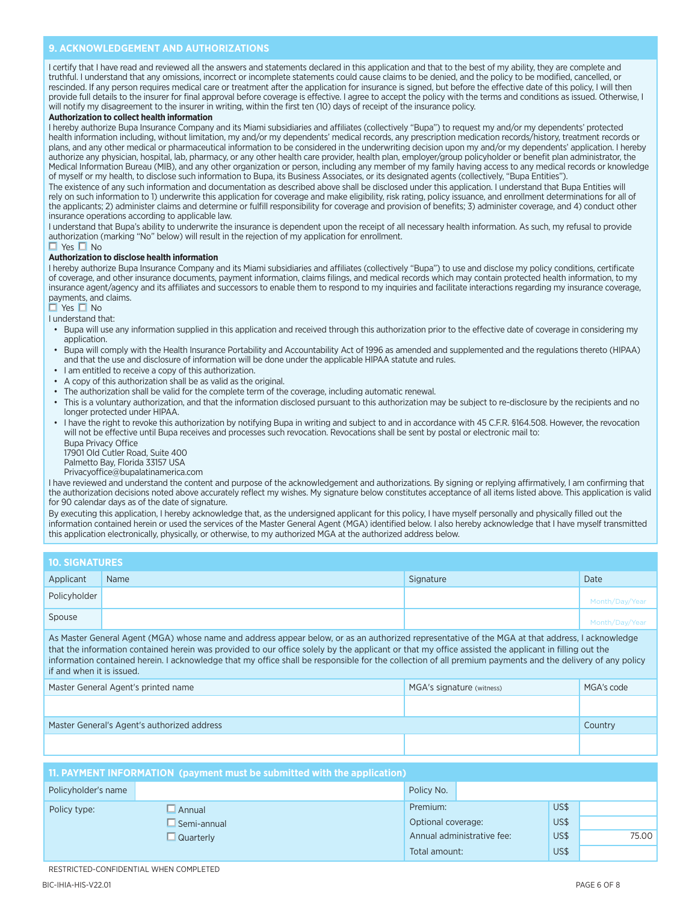#### **9. ACKNOWLEDGEMENT AND AUTHORIZATIONS**

I certify that I have read and reviewed all the answers and statements declared in this application and that to the best of my ability, they are complete and truthful. I understand that any omissions, incorrect or incomplete statements could cause claims to be denied, and the policy to be modified, cancelled, or rescinded. If any person requires medical care or treatment after the application for insurance is signed, but before the effective date of this policy, I will then provide full details to the insurer for final approval before coverage is effective. I agree to accept the policy with the terms and conditions as issued. Otherwise, I will notify my disagreement to the insurer in writing, within the first ten (10) days of receipt of the insurance policy.

#### **Authorization to collect health information**

I hereby authorize Bupa Insurance Company and its Miami subsidiaries and affiliates (collectively "Bupa") to request my and/or my dependents' protected health information including, without limitation, my and/or my dependents' medical records, any prescription medication records/history, treatment records or plans, and any other medical or pharmaceutical information to be considered in the underwriting decision upon my and/or my dependents' application. I hereby authorize any physician, hospital, lab, pharmacy, or any other health care provider, health plan, employer/group policyholder or benefit plan administrator, the Medical Information Bureau (MIB), and any other organization or person, including any member of my family having access to any medical records or knowledge of myself or my health, to disclose such information to Bupa, its Business Associates, or its designated agents (collectively, "Bupa Entities").

The existence of any such information and documentation as described above shall be disclosed under this application. I understand that Bupa Entities will rely on such information to 1) underwrite this application for coverage and make eligibility, risk rating, policy issuance, and enrollment determinations for all of the applicants; 2) administer claims and determine or fulfill responsibility for coverage and provision of benefits; 3) administer coverage, and 4) conduct other insurance operations according to applicable law.

I understand that Bupa's ability to underwrite the insurance is dependent upon the receipt of all necessary health information. As such, my refusal to provide authorization (marking "No" below) will result in the rejection of my application for enrollment.

#### $\Box$  Yes  $\Box$  No

#### **Authorization to disclose health information**

I hereby authorize Bupa Insurance Company and its Miami subsidiaries and affiliates (collectively "Bupa") to use and disclose my policy conditions, certificate of coverage, and other insurance documents, payment information, claims filings, and medical records which may contain protected health information, to my insurance agent/agency and its affiliates and successors to enable them to respond to my inquiries and facilitate interactions regarding my insurance coverage, payments, and claims.

 $\Box$  Yes  $\Box$  No

I understand that:

- Bupa will use any information supplied in this application and received through this authorization prior to the effective date of coverage in considering my application.
- Bupa will comply with the Health Insurance Portability and Accountability Act of 1996 as amended and supplemented and the regulations thereto (HIPAA) and that the use and disclosure of information will be done under the applicable HIPAA statute and rules.
- I am entitled to receive a copy of this authorization.
- A copy of this authorization shall be as valid as the original.
- The authorization shall be valid for the complete term of the coverage, including automatic renewal.
- This is a voluntary authorization, and that the information disclosed pursuant to this authorization may be subject to re-disclosure by the recipients and no longer protected under HIPAA.
- I have the right to revoke this authorization by notifying Bupa in writing and subject to and in accordance with 45 C.F.R. §164.508. However, the revocation will not be effective until Bupa receives and processes such revocation. Revocations shall be sent by postal or electronic mail to:
	- Bupa Privacy Office 17901 Old Cutler Road, Suite 400
	- Palmetto Bay, Florida 33157 USA
	- Privacyoffice@bupalatinamerica.com

I have reviewed and understand the content and purpose of the acknowledgement and authorizations. By signing or replying affirmatively, I am confirming that the authorization decisions noted above accurately reflect my wishes. My signature below constitutes acceptance of all items listed above. This application is valid for 90 calendar days as of the date of signature.

By executing this application, I hereby acknowledge that, as the undersigned applicant for this policy, I have myself personally and physically filled out the information contained herein or used the services of the Master General Agent (MGA) identified below. I also hereby acknowledge that I have myself transmitted this application electronically, physically, or otherwise, to my authorized MGA at the authorized address below.

| <b>10. SIGNATURES</b> |      |           |                |
|-----------------------|------|-----------|----------------|
| Applicant             | Name | Signature | Date           |
| Policyholder          |      |           | Month/Day/Year |
| Spouse                |      |           | Month/Day/Year |

As Master General Agent (MGA) whose name and address appear below, or as an authorized representative of the MGA at that address, I acknowledge that the information contained herein was provided to our office solely by the applicant or that my office assisted the applicant in filling out the information contained herein. I acknowledge that my office shall be responsible for the collection of all premium payments and the delivery of any policy if and when it is issued.

| Master General Agent's printed name         | MGA's signature (witness) | MGA's code |
|---------------------------------------------|---------------------------|------------|
|                                             |                           |            |
| Master General's Agent's authorized address |                           | Country    |
|                                             |                           |            |

| 11. PAYMENT INFORMATION (payment must be submitted with the application) |                    |                            |      |       |
|--------------------------------------------------------------------------|--------------------|----------------------------|------|-------|
| Policyholder's name                                                      |                    | Policy No.                 |      |       |
| Policy type:                                                             | $\Box$ Annual      | Premium:                   | US\$ |       |
|                                                                          | $\Box$ Semi-annual | Optional coverage:         | US\$ |       |
|                                                                          | $\Box$ Quarterly   | Annual administrative fee: | US\$ | 75.00 |
|                                                                          |                    | Total amount:              | US\$ |       |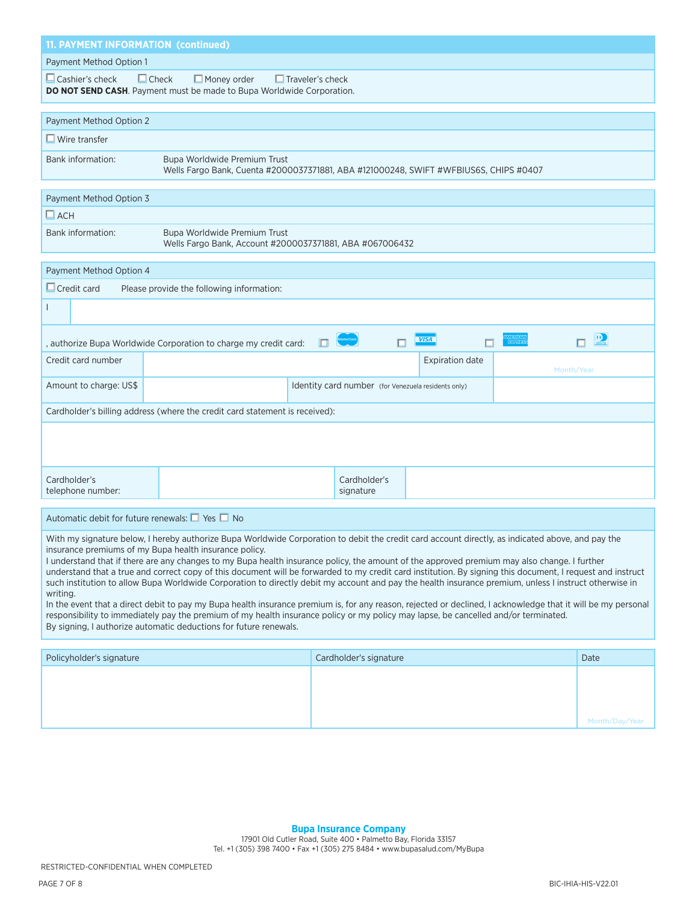| <b>11. PAYMENT INFORMATION (continued)</b>                                                                                                                                                                                                                                                                                                                                                                                                                                                                                                                                                                                                                                                                                                                                                                                                                                                                                                                                                                                                                                  |                                                                                                                                        |  |  |
|-----------------------------------------------------------------------------------------------------------------------------------------------------------------------------------------------------------------------------------------------------------------------------------------------------------------------------------------------------------------------------------------------------------------------------------------------------------------------------------------------------------------------------------------------------------------------------------------------------------------------------------------------------------------------------------------------------------------------------------------------------------------------------------------------------------------------------------------------------------------------------------------------------------------------------------------------------------------------------------------------------------------------------------------------------------------------------|----------------------------------------------------------------------------------------------------------------------------------------|--|--|
| Payment Method Option 1                                                                                                                                                                                                                                                                                                                                                                                                                                                                                                                                                                                                                                                                                                                                                                                                                                                                                                                                                                                                                                                     |                                                                                                                                        |  |  |
| $\Box$ Cashier's check                                                                                                                                                                                                                                                                                                                                                                                                                                                                                                                                                                                                                                                                                                                                                                                                                                                                                                                                                                                                                                                      | $\Box$ Check<br>$\Box$ Money order<br>$\Box$ Traveler's check<br>DO NOT SEND CASH. Payment must be made to Bupa Worldwide Corporation. |  |  |
| Payment Method Option 2                                                                                                                                                                                                                                                                                                                                                                                                                                                                                                                                                                                                                                                                                                                                                                                                                                                                                                                                                                                                                                                     |                                                                                                                                        |  |  |
| $\Box$ Wire transfer                                                                                                                                                                                                                                                                                                                                                                                                                                                                                                                                                                                                                                                                                                                                                                                                                                                                                                                                                                                                                                                        |                                                                                                                                        |  |  |
| Bank information:                                                                                                                                                                                                                                                                                                                                                                                                                                                                                                                                                                                                                                                                                                                                                                                                                                                                                                                                                                                                                                                           | Bupa Worldwide Premium Trust<br>Wells Fargo Bank, Cuenta #2000037371881, ABA #121000248, SWIFT #WFBIUS6S, CHIPS #0407                  |  |  |
| Payment Method Option 3                                                                                                                                                                                                                                                                                                                                                                                                                                                                                                                                                                                                                                                                                                                                                                                                                                                                                                                                                                                                                                                     |                                                                                                                                        |  |  |
| $\Box$ ACH                                                                                                                                                                                                                                                                                                                                                                                                                                                                                                                                                                                                                                                                                                                                                                                                                                                                                                                                                                                                                                                                  |                                                                                                                                        |  |  |
| Bank information:                                                                                                                                                                                                                                                                                                                                                                                                                                                                                                                                                                                                                                                                                                                                                                                                                                                                                                                                                                                                                                                           | Bupa Worldwide Premium Trust<br>Wells Fargo Bank, Account #2000037371881, ABA #067006432                                               |  |  |
| Payment Method Option 4                                                                                                                                                                                                                                                                                                                                                                                                                                                                                                                                                                                                                                                                                                                                                                                                                                                                                                                                                                                                                                                     |                                                                                                                                        |  |  |
| $\Box$ Credit card                                                                                                                                                                                                                                                                                                                                                                                                                                                                                                                                                                                                                                                                                                                                                                                                                                                                                                                                                                                                                                                          | Please provide the following information:                                                                                              |  |  |
|                                                                                                                                                                                                                                                                                                                                                                                                                                                                                                                                                                                                                                                                                                                                                                                                                                                                                                                                                                                                                                                                             |                                                                                                                                        |  |  |
|                                                                                                                                                                                                                                                                                                                                                                                                                                                                                                                                                                                                                                                                                                                                                                                                                                                                                                                                                                                                                                                                             | $\overline{\mathbf{O}}$<br><b>VISA</b><br>$\Box$<br>п<br>п.<br>П<br>, authorize Bupa Worldwide Corporation to charge my credit card:   |  |  |
| Credit card number                                                                                                                                                                                                                                                                                                                                                                                                                                                                                                                                                                                                                                                                                                                                                                                                                                                                                                                                                                                                                                                          | <b>Expiration date</b><br>Month/Year                                                                                                   |  |  |
| Amount to charge: US\$                                                                                                                                                                                                                                                                                                                                                                                                                                                                                                                                                                                                                                                                                                                                                                                                                                                                                                                                                                                                                                                      | Identity card number (for Venezuela residents only)                                                                                    |  |  |
|                                                                                                                                                                                                                                                                                                                                                                                                                                                                                                                                                                                                                                                                                                                                                                                                                                                                                                                                                                                                                                                                             | Cardholder's billing address (where the credit card statement is received):                                                            |  |  |
|                                                                                                                                                                                                                                                                                                                                                                                                                                                                                                                                                                                                                                                                                                                                                                                                                                                                                                                                                                                                                                                                             |                                                                                                                                        |  |  |
| Cardholder's<br>telephone number:                                                                                                                                                                                                                                                                                                                                                                                                                                                                                                                                                                                                                                                                                                                                                                                                                                                                                                                                                                                                                                           | Cardholder's<br>signature                                                                                                              |  |  |
| Automatic debit for future renewals: $\Box$ Yes $\Box$ No                                                                                                                                                                                                                                                                                                                                                                                                                                                                                                                                                                                                                                                                                                                                                                                                                                                                                                                                                                                                                   |                                                                                                                                        |  |  |
| With my signature below, I hereby authorize Bupa Worldwide Corporation to debit the credit card account directly, as indicated above, and pay the<br>insurance premiums of my Bupa health insurance policy.<br>I understand that if there are any changes to my Bupa health insurance policy, the amount of the approved premium may also change. I further<br>understand that a true and correct copy of this document will be forwarded to my credit card institution. By signing this document, I request and instruct<br>such institution to allow Bupa Worldwide Corporation to directly debit my account and pay the health insurance premium, unless I instruct otherwise in<br>writing.<br>In the event that a direct debit to pay my Bupa health insurance premium is, for any reason, rejected or declined, I acknowledge that it will be my personal<br>responsibility to immediately pay the premium of my health insurance policy or my policy may lapse, be cancelled and/or terminated.<br>By signing, I authorize automatic deductions for future renewals. |                                                                                                                                        |  |  |
|                                                                                                                                                                                                                                                                                                                                                                                                                                                                                                                                                                                                                                                                                                                                                                                                                                                                                                                                                                                                                                                                             |                                                                                                                                        |  |  |

| Policyholder's signature | Cardholder's signature | Date           |
|--------------------------|------------------------|----------------|
|                          |                        |                |
|                          |                        |                |
|                          |                        |                |
|                          |                        |                |
|                          |                        | Month/Day/Year |